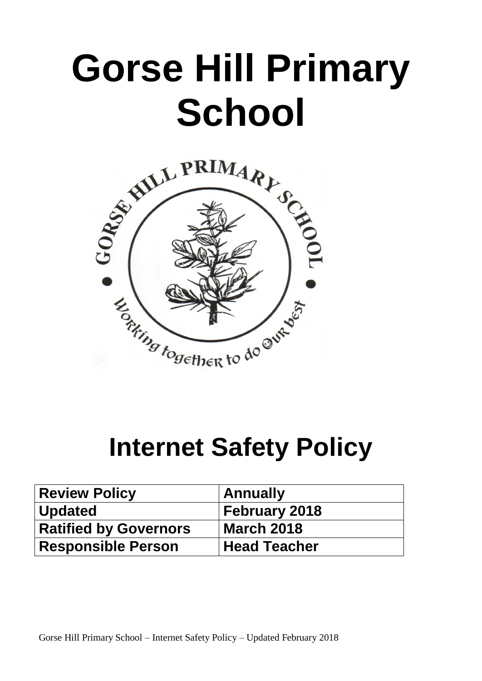# **Gorse Hill Primary School**



## **Internet Safety Policy**

| <b>Review Policy</b>         | <b>Annually</b>      |
|------------------------------|----------------------|
| <b>Updated</b>               | <b>February 2018</b> |
| <b>Ratified by Governors</b> | <b>March 2018</b>    |
| <b>Responsible Person</b>    | <b>Head Teacher</b>  |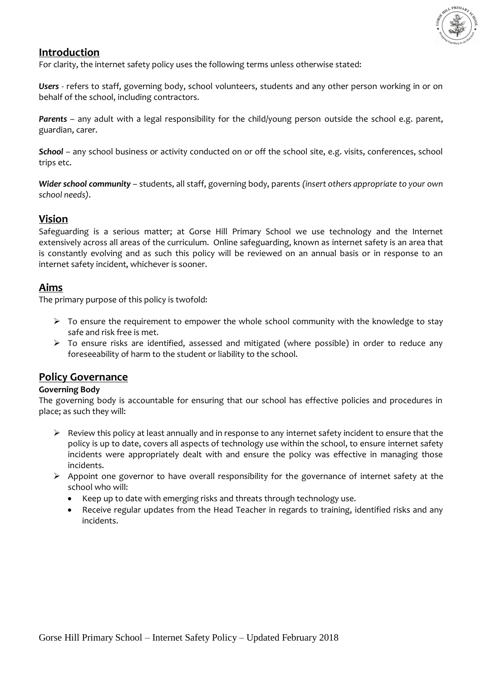

### **Introduction**

For clarity, the internet safety policy uses the following terms unless otherwise stated:

*Users* - refers to staff, governing body, school volunteers, students and any other person working in or on behalf of the school, including contractors.

Parents - any adult with a legal responsibility for the child/young person outside the school e.g. parent, guardian, carer.

*School* – any school business or activity conducted on or off the school site, e.g. visits, conferences, school trips etc.

*Wider school community* – students, all staff, governing body, parents *(insert others appropriate to your own school needs)*.

### **Vision**

Safeguarding is a serious matter; at Gorse Hill Primary School we use technology and the Internet extensively across all areas of the curriculum. Online safeguarding, known as internet safety is an area that is constantly evolving and as such this policy will be reviewed on an annual basis or in response to an internet safety incident, whichever is sooner.

### **Aims**

The primary purpose of this policy is twofold:

- $\triangleright$  To ensure the requirement to empower the whole school community with the knowledge to stay safe and risk free is met.
- To ensure risks are identified, assessed and mitigated (where possible) in order to reduce any foreseeability of harm to the student or liability to the school.

### **Policy Governance**

### **Governing Body**

The governing body is accountable for ensuring that our school has effective policies and procedures in place; as such they will:

- $\triangleright$  Review this policy at least annually and in response to any internet safety incident to ensure that the policy is up to date, covers all aspects of technology use within the school, to ensure internet safety incidents were appropriately dealt with and ensure the policy was effective in managing those incidents.
- $\triangleright$  Appoint one governor to have overall responsibility for the governance of internet safety at the school who will:
	- Keep up to date with emerging risks and threats through technology use.
	- Receive regular updates from the Head Teacher in regards to training, identified risks and any incidents.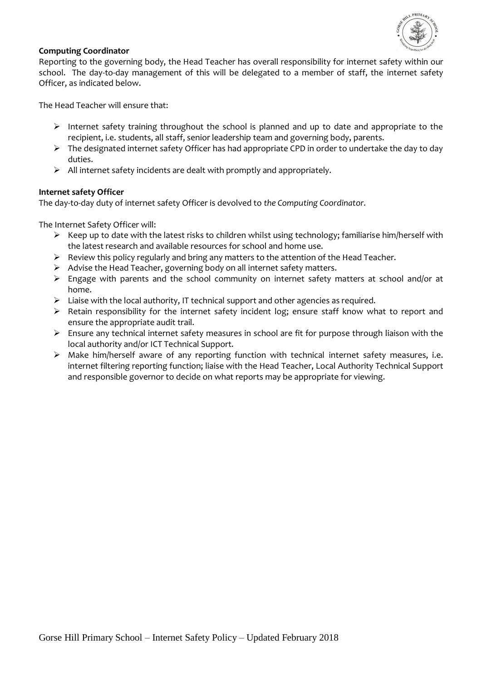

### **Computing Coordinator**

Reporting to the governing body, the Head Teacher has overall responsibility for internet safety within our school. The day-to-day management of this will be delegated to a member of staff, the internet safety Officer, as indicated below.

The Head Teacher will ensure that:

- $\triangleright$  Internet safety training throughout the school is planned and up to date and appropriate to the recipient, i.e. students, all staff, senior leadership team and governing body, parents.
- $\triangleright$  The designated internet safety Officer has had appropriate CPD in order to undertake the day to day duties.
- $\triangleright$  All internet safety incidents are dealt with promptly and appropriately.

### **Internet safety Officer**

The day-to-day duty of internet safety Officer is devolved to *the Computing Coordinator.*

The Internet Safety Officer will:

- $\triangleright$  Keep up to date with the latest risks to children whilst using technology; familiarise him/herself with the latest research and available resources for school and home use.
- $\triangleright$  Review this policy regularly and bring any matters to the attention of the Head Teacher.
- $\triangleright$  Advise the Head Teacher, governing body on all internet safety matters.
- $\triangleright$  Engage with parents and the school community on internet safety matters at school and/or at home.
- $\triangleright$  Liaise with the local authority, IT technical support and other agencies as required.
- $\triangleright$  Retain responsibility for the internet safety incident log; ensure staff know what to report and ensure the appropriate audit trail.
- $\triangleright$  Ensure any technical internet safety measures in school are fit for purpose through liaison with the local authority and/or ICT Technical Support.
- $\triangleright$  Make him/herself aware of any reporting function with technical internet safety measures, i.e. internet filtering reporting function; liaise with the Head Teacher, Local Authority Technical Support and responsible governor to decide on what reports may be appropriate for viewing.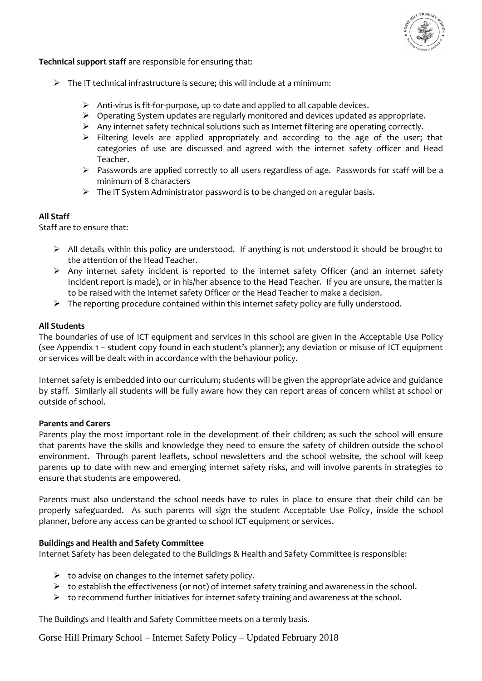

**Technical support staff** are responsible for ensuring that:

- $\triangleright$  The IT technical infrastructure is secure; this will include at a minimum:
	- Anti-virus is fit-for-purpose, up to date and applied to all capable devices.
	- Operating System updates are regularly monitored and devices updated as appropriate.
	- $\triangleright$  Any internet safety technical solutions such as Internet filtering are operating correctly.
	- $\triangleright$  Filtering levels are applied appropriately and according to the age of the user; that categories of use are discussed and agreed with the internet safety officer and Head Teacher.
	- Passwords are applied correctly to all users regardless of age*.* Passwords for staff will be a minimum of 8 characters
	- $\triangleright$  The IT System Administrator password is to be changed on a regular basis.

#### **All Staff**

Staff are to ensure that:

- $\triangleright$  All details within this policy are understood. If anything is not understood it should be brought to the attention of the Head Teacher.
- $\triangleright$  Any internet safety incident is reported to the internet safety Officer (and an internet safety Incident report is made), or in his/her absence to the Head Teacher. If you are unsure, the matter is to be raised with the internet safety Officer or the Head Teacher to make a decision.
- $\triangleright$  The reporting procedure contained within this internet safety policy are fully understood.

### **All Students**

The boundaries of use of ICT equipment and services in this school are given in the Acceptable Use Policy (see Appendix 1 – student copy found in each student's planner); any deviation or misuse of ICT equipment or services will be dealt with in accordance with the behaviour policy.

Internet safety is embedded into our curriculum; students will be given the appropriate advice and guidance by staff. Similarly all students will be fully aware how they can report areas of concern whilst at school or outside of school.

#### **Parents and Carers**

Parents play the most important role in the development of their children; as such the school will ensure that parents have the skills and knowledge they need to ensure the safety of children outside the school environment. Through parent leaflets, school newsletters and the school website*,* the school will keep parents up to date with new and emerging internet safety risks, and will involve parents in strategies to ensure that students are empowered.

Parents must also understand the school needs have to rules in place to ensure that their child can be properly safeguarded. As such parents will sign the student Acceptable Use Policy, inside the school planner, before any access can be granted to school ICT equipment or services.

### **Buildings and Health and Safety Committee**

Internet Safety has been delegated to the Buildings & Health and Safety Committee is responsible:

- $\triangleright$  to advise on changes to the internet safety policy.
- $\triangleright$  to establish the effectiveness (or not) of internet safety training and awareness in the school.
- $\triangleright$  to recommend further initiatives for internet safety training and awareness at the school.

The Buildings and Health and Safety Committee meets on a termly basis.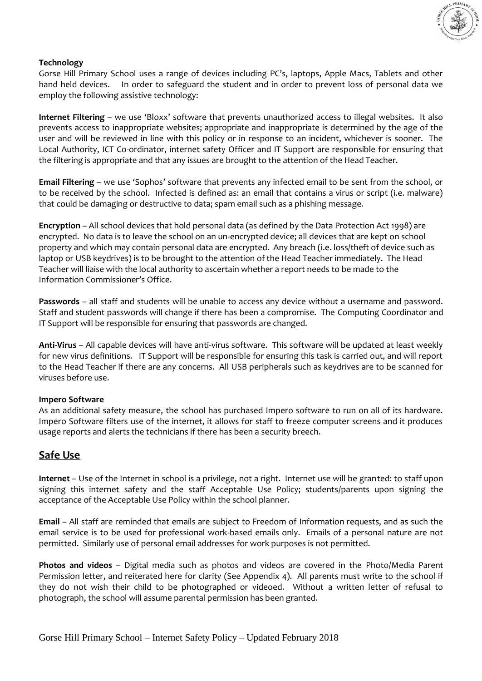

### **Technology**

Gorse Hill Primary School uses a range of devices including PC's, laptops, Apple Macs, Tablets and other hand held devices. In order to safeguard the student and in order to prevent loss of personal data we employ the following assistive technology:

**Internet Filtering** – we use 'Bloxx' software that prevents unauthorized access to illegal websites. It also prevents access to inappropriate websites; appropriate and inappropriate is determined by the age of the user and will be reviewed in line with this policy or in response to an incident, whichever is sooner. The Local Authority, ICT Co-ordinator, internet safety Officer and IT Support are responsible for ensuring that the filtering is appropriate and that any issues are brought to the attention of the Head Teacher.

**Email Filtering** – we use 'Sophos' software that prevents any infected email to be sent from the school, or to be received by the school. Infected is defined as: an email that contains a virus or script (i.e. malware) that could be damaging or destructive to data; spam email such as a phishing message.

**Encryption** – All school devices that hold personal data (as defined by the Data Protection Act 1998) are encrypted. No data is to leave the school on an un-encrypted device; all devices that are kept on school property and which may contain personal data are encrypted. Any breach (i.e. loss/theft of device such as laptop or USB keydrives) is to be brought to the attention of the Head Teacher immediately. The Head Teacher will liaise with the local authority to ascertain whether a report needs to be made to the Information Commissioner's Office.

**Passwords** – all staff and students will be unable to access any device without a username and password. Staff and student passwords will change if there has been a compromise. The Computing Coordinator and IT Support will be responsible for ensuring that passwords are changed.

**Anti-Virus** – All capable devices will have anti-virus software. This software will be updated at least weekly for new virus definitions. IT Support will be responsible for ensuring this task is carried out, and will report to the Head Teacher if there are any concerns. All USB peripherals such as keydrives are to be scanned for viruses before use.

### **Impero Software**

As an additional safety measure, the school has purchased Impero software to run on all of its hardware. Impero Software filters use of the internet, it allows for staff to freeze computer screens and it produces usage reports and alerts the technicians if there has been a security breech.

### **Safe Use**

**Internet** – Use of the Internet in school is a privilege, not a right. Internet use will be granted: to staff upon signing this internet safety and the staff Acceptable Use Policy; students/parents upon signing the acceptance of the Acceptable Use Policy within the school planner.

**Email** – All staff are reminded that emails are subject to Freedom of Information requests, and as such the email service is to be used for professional work-based emails only. Emails of a personal nature are not permitted. Similarly use of personal email addresses for work purposes is not permitted.

**Photos and videos** – Digital media such as photos and videos are covered in the Photo/Media Parent Permission letter, and reiterated here for clarity (See Appendix 4). All parents must write to the school if they do not wish their child to be photographed or videoed. Without a written letter of refusal to photograph, the school will assume parental permission has been granted.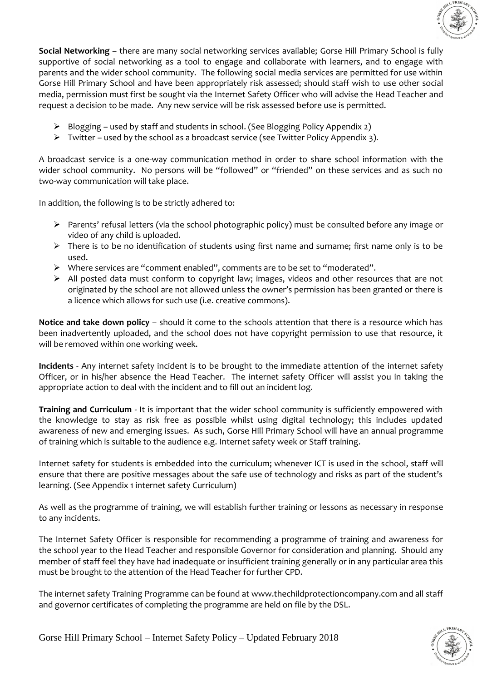

**Social Networking** – there are many social networking services available; Gorse Hill Primary School is fully supportive of social networking as a tool to engage and collaborate with learners, and to engage with parents and the wider school community. The following social media services are permitted for use within Gorse Hill Primary School and have been appropriately risk assessed; should staff wish to use other social media, permission must first be sought via the Internet Safety Officer who will advise the Head Teacher and request a decision to be made. Any new service will be risk assessed before use is permitted.

- Blogging used by staff and students in school. (See Blogging Policy Appendix 2)
- $\triangleright$  Twitter used by the school as a broadcast service (see Twitter Policy Appendix 3).

A broadcast service is a one-way communication method in order to share school information with the wider school community. No persons will be "followed" or "friended" on these services and as such no two-way communication will take place.

In addition, the following is to be strictly adhered to:

- $\triangleright$  Parents' refusal letters (via the school photographic policy) must be consulted before any image or video of any child is uploaded.
- > There is to be no identification of students using first name and surname; first name only is to be used.
- Where services are "comment enabled", comments are to be set to "moderated".
- $\triangleright$  All posted data must conform to copyright law; images, videos and other resources that are not originated by the school are not allowed unless the owner's permission has been granted or there is a licence which allows for such use (i.e. creative commons).

**Notice and take down policy** – should it come to the schools attention that there is a resource which has been inadvertently uploaded, and the school does not have copyright permission to use that resource, it will be removed within one working week.

**Incidents** - Any internet safety incident is to be brought to the immediate attention of the internet safety Officer, or in his/her absence the Head Teacher. The internet safety Officer will assist you in taking the appropriate action to deal with the incident and to fill out an incident log.

**Training and Curriculum** - It is important that the wider school community is sufficiently empowered with the knowledge to stay as risk free as possible whilst using digital technology; this includes updated awareness of new and emerging issues. As such, Gorse Hill Primary School will have an annual programme of training which is suitable to the audience e.g. Internet safety week or Staff training.

Internet safety for students is embedded into the curriculum; whenever ICT is used in the school, staff will ensure that there are positive messages about the safe use of technology and risks as part of the student's learning. (See Appendix 1 internet safety Curriculum)

As well as the programme of training, we will establish further training or lessons as necessary in response to any incidents.

The Internet Safety Officer is responsible for recommending a programme of training and awareness for the school year to the Head Teacher and responsible Governor for consideration and planning. Should any member of staff feel they have had inadequate or insufficient training generally or in any particular area this must be brought to the attention of the Head Teacher for further CPD.

The internet safety Training Programme can be found at www.thechildprotectioncompany.com and all staff and governor certificates of completing the programme are held on file by the DSL.

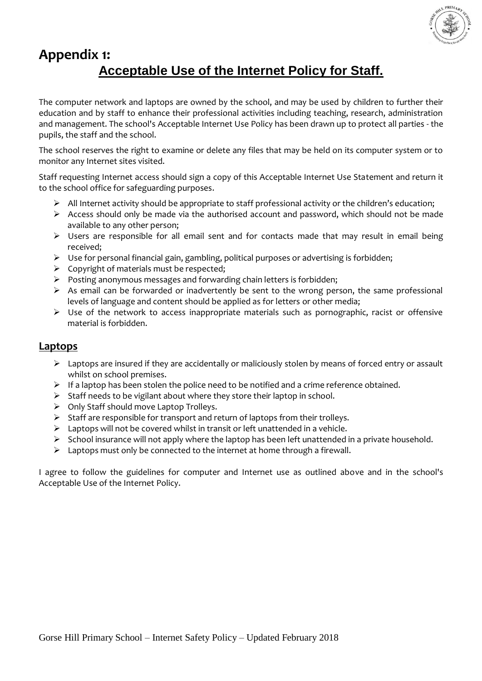

### **Appendix 1: Acceptable Use of the Internet Policy for Staff.**

The computer network and laptops are owned by the school, and may be used by children to further their education and by staff to enhance their professional activities including teaching, research, administration and management. The school's Acceptable Internet Use Policy has been drawn up to protect all parties - the pupils, the staff and the school.

The school reserves the right to examine or delete any files that may be held on its computer system or to monitor any Internet sites visited.

Staff requesting Internet access should sign a copy of this Acceptable Internet Use Statement and return it to the school office for safeguarding purposes.

- $\triangleright$  All Internet activity should be appropriate to staff professional activity or the children's education;
- $\triangleright$  Access should only be made via the authorised account and password, which should not be made available to any other person;
- $\triangleright$  Users are responsible for all email sent and for contacts made that may result in email being received;
- $\triangleright$  Use for personal financial gain, gambling, political purposes or advertising is forbidden;
- $\triangleright$  Copyright of materials must be respected;
- Posting anonymous messages and forwarding chain letters is forbidden;
- $\triangleright$  As email can be forwarded or inadvertently be sent to the wrong person, the same professional levels of language and content should be applied as for letters or other media;
- $\triangleright$  Use of the network to access inappropriate materials such as pornographic, racist or offensive material is forbidden.

### **Laptops**

- $\triangleright$  Laptops are insured if they are accidentally or maliciously stolen by means of forced entry or assault whilst on school premises.
- $\triangleright$  If a laptop has been stolen the police need to be notified and a crime reference obtained.
- $\triangleright$  Staff needs to be vigilant about where they store their laptop in school.
- $\triangleright$  Only Staff should move Laptop Trolleys.
- $\triangleright$  Staff are responsible for transport and return of laptops from their trolleys.
- $\triangleright$  Laptops will not be covered whilst in transit or left unattended in a vehicle.
- $\triangleright$  School insurance will not apply where the laptop has been left unattended in a private household.
- $\triangleright$  Laptops must only be connected to the internet at home through a firewall.

I agree to follow the guidelines for computer and Internet use as outlined above and in the school's Acceptable Use of the Internet Policy.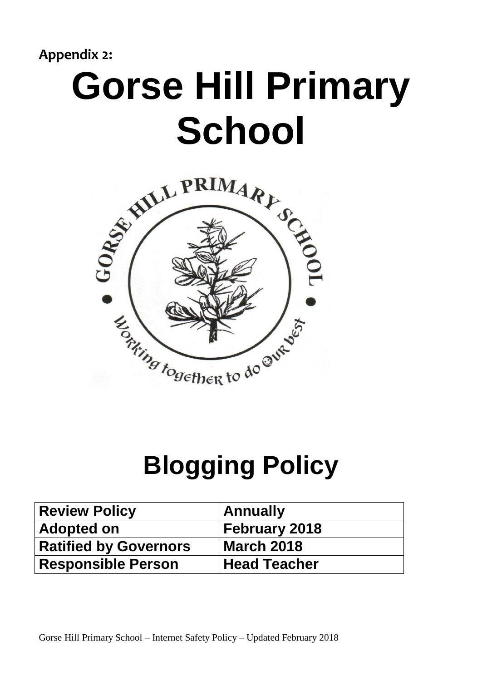**Appendix 2:**

# **Gorse Hill Primary School**



# **Blogging Policy**

| <b>Review Policy</b>         | <b>Annually</b> |
|------------------------------|-----------------|
| <b>Adopted on</b>            | February 2018   |
| <b>Ratified by Governors</b> | March 2018      |
| <b>Responsible Person</b>    | Head Teacher    |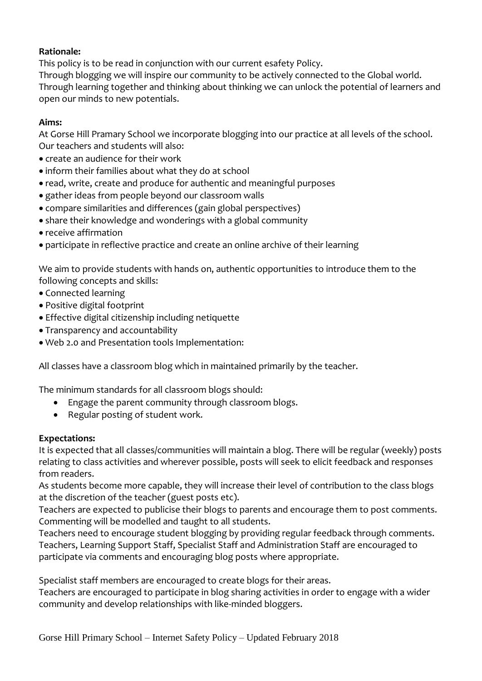### **Rationale:**

This policy is to be read in conjunction with our current esafety Policy.

Through blogging we will inspire our community to be actively connected to the Global world. Through learning together and thinking about thinking we can unlock the potential of learners and open our minds to new potentials.

### **Aims:**

At Gorse Hill Pramary School we incorporate blogging into our practice at all levels of the school. Our teachers and students will also:

- create an audience for their work
- inform their families about what they do at school
- read, write, create and produce for authentic and meaningful purposes
- gather ideas from people beyond our classroom walls
- compare similarities and differences (gain global perspectives)
- share their knowledge and wonderings with a global community
- receive affirmation
- participate in reflective practice and create an online archive of their learning

We aim to provide students with hands on, authentic opportunities to introduce them to the following concepts and skills:

- Connected learning
- Positive digital footprint
- Effective digital citizenship including netiquette
- Transparency and accountability
- Web 2.0 and Presentation tools Implementation:

All classes have a classroom blog which in maintained primarily by the teacher.

The minimum standards for all classroom blogs should:

- Engage the parent community through classroom blogs.
- Regular posting of student work.

### **Expectations:**

It is expected that all classes/communities will maintain a blog. There will be regular (weekly) posts relating to class activities and wherever possible, posts will seek to elicit feedback and responses from readers.

As students become more capable, they will increase their level of contribution to the class blogs at the discretion of the teacher (guest posts etc).

Teachers are expected to publicise their blogs to parents and encourage them to post comments. Commenting will be modelled and taught to all students.

Teachers need to encourage student blogging by providing regular feedback through comments. Teachers, Learning Support Staff, Specialist Staff and Administration Staff are encouraged to participate via comments and encouraging blog posts where appropriate.

Specialist staff members are encouraged to create blogs for their areas.

Teachers are encouraged to participate in blog sharing activities in order to engage with a wider community and develop relationships with like-minded bloggers.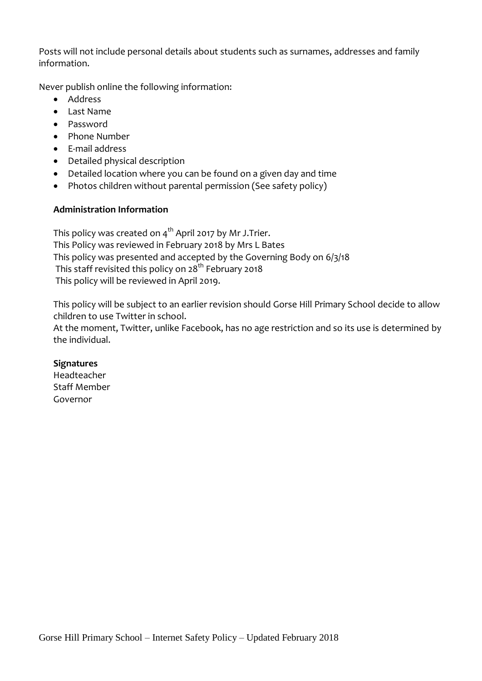Posts will not include personal details about students such as surnames, addresses and family information.

Never publish online the following information:

- Address
- Last Name
- Password
- Phone Number
- E-mail address
- Detailed physical description
- Detailed location where you can be found on a given day and time
- Photos children without parental permission (See safety policy)

### **Administration Information**

This policy was created on  $4^{th}$  April 2017 by Mr J. Trier. This Policy was reviewed in February 2018 by Mrs L Bates This policy was presented and accepted by the Governing Body on 6/3/18 This staff revisited this policy on 28<sup>th</sup> February 2018 This policy will be reviewed in April 2019.

This policy will be subject to an earlier revision should Gorse Hill Primary School decide to allow children to use Twitter in school.

At the moment, Twitter, unlike Facebook, has no age restriction and so its use is determined by the individual.

### **Signatures**

Headteacher Staff Member Governor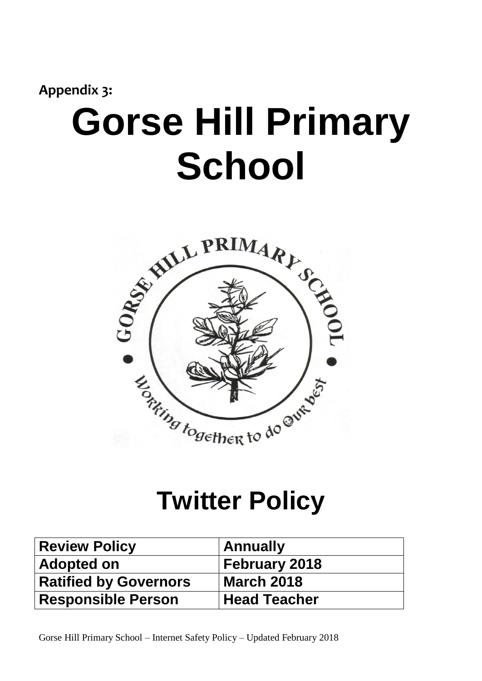# **Appendix 3: Gorse Hill Primary School**



## **Twitter Policy**

| <b>Review Policy</b>         | <b>Annually</b>      |
|------------------------------|----------------------|
| <b>Adopted on</b>            | <b>February 2018</b> |
| <b>Ratified by Governors</b> | <b>March 2018</b>    |
| <b>Responsible Person</b>    | <b>Head Teacher</b>  |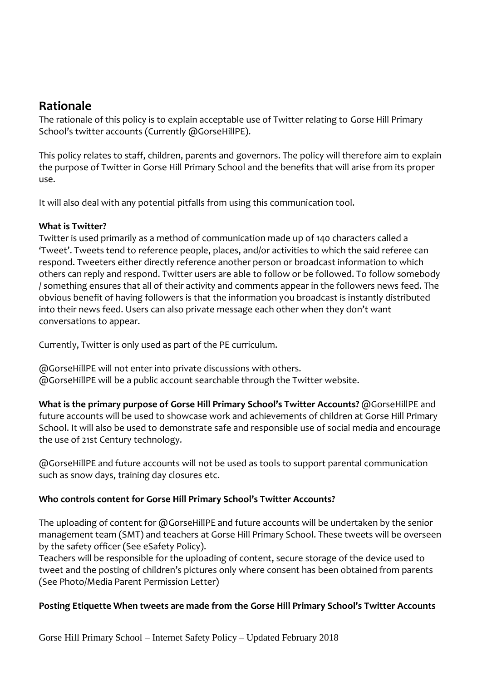### **Rationale**

The rationale of this policy is to explain acceptable use of Twitter relating to Gorse Hill Primary School's twitter accounts (Currently @GorseHillPE).

This policy relates to staff, children, parents and governors. The policy will therefore aim to explain the purpose of Twitter in Gorse Hill Primary School and the benefits that will arise from its proper use.

It will also deal with any potential pitfalls from using this communication tool.

### **What is Twitter?**

Twitter is used primarily as a method of communication made up of 140 characters called a 'Tweet'. Tweets tend to reference people, places, and/or activities to which the said referee can respond. Tweeters either directly reference another person or broadcast information to which others can reply and respond. Twitter users are able to follow or be followed. To follow somebody / something ensures that all of their activity and comments appear in the followers news feed. The obvious benefit of having followers is that the information you broadcast is instantly distributed into their news feed. Users can also private message each other when they don't want conversations to appear.

Currently, Twitter is only used as part of the PE curriculum.

@GorseHillPE will not enter into private discussions with others. @GorseHillPE will be a public account searchable through the Twitter website.

**What is the primary purpose of Gorse Hill Primary School's Twitter Accounts?** @GorseHillPE and future accounts will be used to showcase work and achievements of children at Gorse Hill Primary School. It will also be used to demonstrate safe and responsible use of social media and encourage the use of 21st Century technology.

@GorseHillPE and future accounts will not be used as tools to support parental communication such as snow days, training day closures etc.

### **Who controls content for Gorse Hill Primary School's Twitter Accounts?**

The uploading of content for @GorseHillPE and future accounts will be undertaken by the senior management team (SMT) and teachers at Gorse Hill Primary School. These tweets will be overseen by the safety officer (See eSafety Policy).

Teachers will be responsible for the uploading of content, secure storage of the device used to tweet and the posting of children's pictures only where consent has been obtained from parents (See Photo/Media Parent Permission Letter)

### **Posting Etiquette When tweets are made from the Gorse Hill Primary School's Twitter Accounts**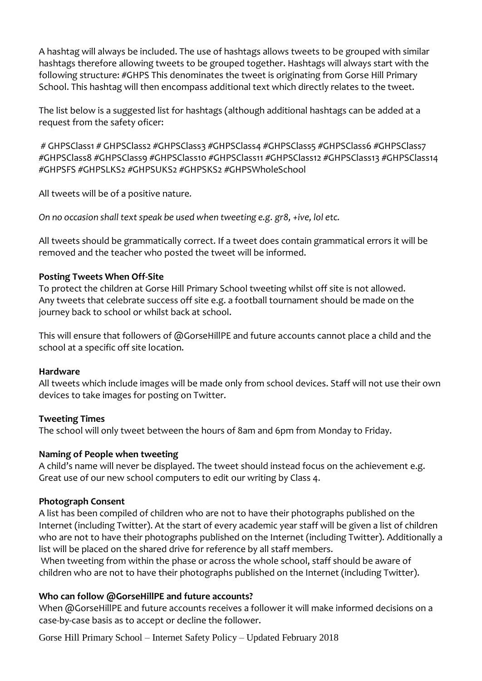A hashtag will always be included. The use of hashtags allows tweets to be grouped with similar hashtags therefore allowing tweets to be grouped together. Hashtags will always start with the following structure: #GHPS This denominates the tweet is originating from Gorse Hill Primary School. This hashtag will then encompass additional text which directly relates to the tweet.

The list below is a suggested list for hashtags (although additional hashtags can be added at a request from the safety oficer:

# GHPSClass1 # GHPSClass2 #GHPSClass3 #GHPSClass4 #GHPSClass5 #GHPSClass6 #GHPSClass7 #GHPSClass8 #GHPSClass9 #GHPSClass10 #GHPSClass11 #GHPSClass12 #GHPSClass13 #GHPSClass14 #GHPSFS #GHPSLKS2 #GHPSUKS2 #GHPSKS2 #GHPSWholeSchool

All tweets will be of a positive nature*.* 

*On no occasion shall text speak be used when tweeting e.g. gr8, +ive, lol etc.* 

All tweets should be grammatically correct. If a tweet does contain grammatical errors it will be removed and the teacher who posted the tweet will be informed.

### **Posting Tweets When Off-Site**

To protect the children at Gorse Hill Primary School tweeting whilst off site is not allowed. Any tweets that celebrate success off site e.g. a football tournament should be made on the journey back to school or whilst back at school.

This will ensure that followers of @GorseHillPE and future accounts cannot place a child and the school at a specific off site location.

### **Hardware**

All tweets which include images will be made only from school devices. Staff will not use their own devices to take images for posting on Twitter.

### **Tweeting Times**

The school will only tweet between the hours of 8am and 6pm from Monday to Friday.

### **Naming of People when tweeting**

A child's name will never be displayed. The tweet should instead focus on the achievement e.g. Great use of our new school computers to edit our writing by Class 4.

### **Photograph Consent**

A list has been compiled of children who are not to have their photographs published on the Internet (including Twitter). At the start of every academic year staff will be given a list of children who are not to have their photographs published on the Internet (including Twitter). Additionally a list will be placed on the shared drive for reference by all staff members.

When tweeting from within the phase or across the whole school, staff should be aware of children who are not to have their photographs published on the Internet (including Twitter).

### **Who can follow @GorseHillPE and future accounts?**

When @GorseHillPE and future accounts receives a follower it will make informed decisions on a case-by-case basis as to accept or decline the follower.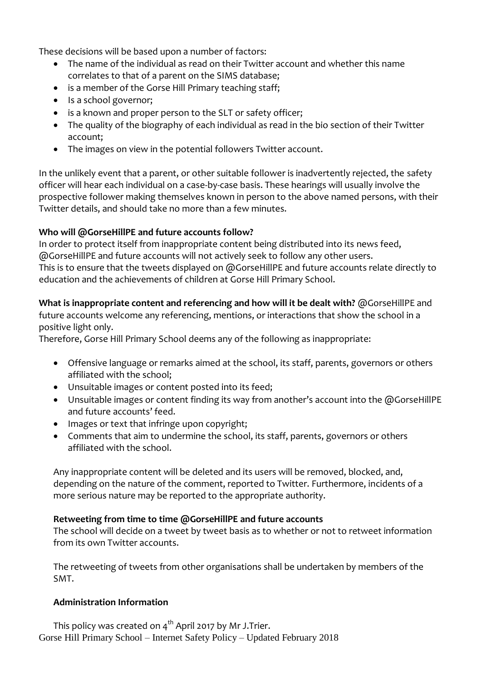These decisions will be based upon a number of factors:

- The name of the individual as read on their Twitter account and whether this name correlates to that of a parent on the SIMS database;
- is a member of the Gorse Hill Primary teaching staff;
- Is a school governor;
- is a known and proper person to the SLT or safety officer;
- The quality of the biography of each individual as read in the bio section of their Twitter account;
- The images on view in the potential followers Twitter account.

In the unlikely event that a parent, or other suitable follower is inadvertently rejected, the safety officer will hear each individual on a case-by-case basis. These hearings will usually involve the prospective follower making themselves known in person to the above named persons, with their Twitter details, and should take no more than a few minutes.

### **Who will @GorseHillPE and future accounts follow?**

In order to protect itself from inappropriate content being distributed into its news feed, @GorseHillPE and future accounts will not actively seek to follow any other users. This is to ensure that the tweets displayed on @GorseHillPE and future accounts relate directly to education and the achievements of children at Gorse Hill Primary School.

**What is inappropriate content and referencing and how will it be dealt with?** @GorseHillPE and future accounts welcome any referencing, mentions, or interactions that show the school in a positive light only.

Therefore, Gorse Hill Primary School deems any of the following as inappropriate:

- Offensive language or remarks aimed at the school, its staff, parents, governors or others affiliated with the school;
- Unsuitable images or content posted into its feed;
- Unsuitable images or content finding its way from another's account into the @GorseHillPE and future accounts' feed.
- Images or text that infringe upon copyright;
- Comments that aim to undermine the school, its staff, parents, governors or others affiliated with the school.

Any inappropriate content will be deleted and its users will be removed, blocked, and, depending on the nature of the comment, reported to Twitter. Furthermore, incidents of a more serious nature may be reported to the appropriate authority.

### **Retweeting from time to time @GorseHillPE and future accounts**

The school will decide on a tweet by tweet basis as to whether or not to retweet information from its own Twitter accounts.

The retweeting of tweets from other organisations shall be undertaken by members of the SMT.

### **Administration Information**

Gorse Hill Primary School – Internet Safety Policy – Updated February 2018 This policy was created on  $4^{th}$  April 2017 by Mr J. Trier.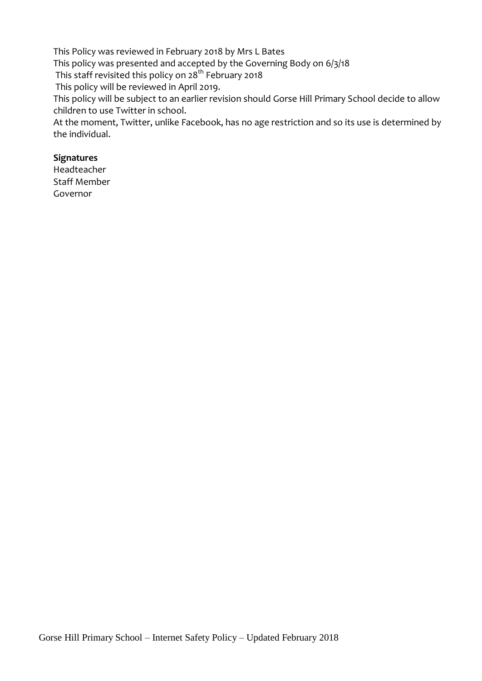This Policy was reviewed in February 2018 by Mrs L Bates

This policy was presented and accepted by the Governing Body on 6/3/18

This staff revisited this policy on 28<sup>th</sup> February 2018

This policy will be reviewed in April 2019.

This policy will be subject to an earlier revision should Gorse Hill Primary School decide to allow children to use Twitter in school.

At the moment, Twitter, unlike Facebook, has no age restriction and so its use is determined by the individual.

### **Signatures**

Headteacher Staff Member Governor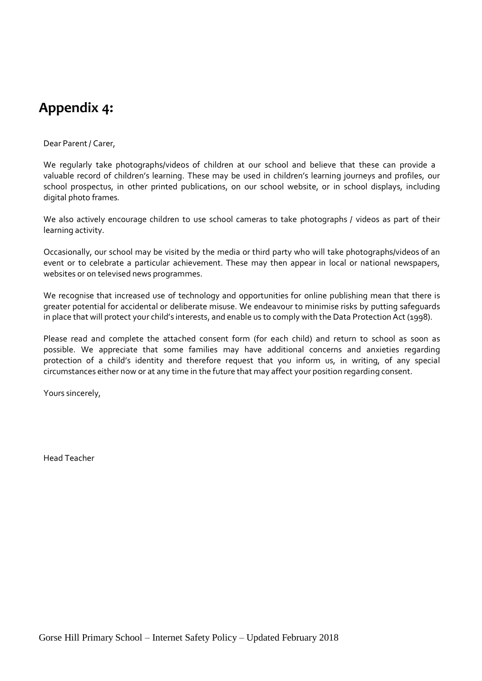### **Appendix 4:**

### Dear Parent/ Carer,

We regularly take photographs/videos of children at our school and believe that these can provide a valuable record of children's learning. These may be used in children's learning journeys and profiles, our school prospectus, in other printed publications, on our school website, or in school displays, including digital photo frames*.*

We also actively encourage children to use school cameras to take photographs / videos as part of their learning activity.

Occasionally, our school may be visited by the media or third party who will take photographs/videos of an event or to celebrate a particular achievement. These may then appear in local or national newspapers, websites or on televised news programmes.

We recognise that increased use of technology and opportunities for online publishing mean that there is greater potential for accidental or deliberate misuse. We endeavour to minimise risks by putting safeguards in place that will protect your child's interests, and enable us to comply with the Data ProtectionAct (1998).

Please read and complete the attached consent form (for each child) and return to school as soon as possible. We appreciate that some families may have additional concerns and anxieties regarding protection of a child's identity and therefore request that you inform us, in writing, of any special circumstances either now or at any time in the future that may affect your position regarding consent.

Yours sincerely,

Head Teacher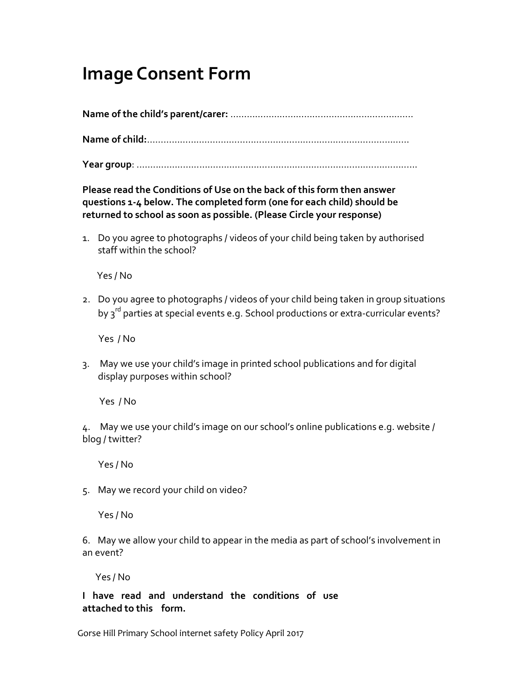### **Image Consent Form**

**Name of the child's parent/carer:** ………………………………………………………....

**Name of child:**……………………………………………………………………………………

**Year group**: .......................................................................................................

**Please read the Conditions of Use on the back of this form then answer questions 1‐4 below. The completed form (one for each child) should be returned to school as soon as possible. (Please Circle your response)**

1. Do you agree to photographs / videos of your child being taken by authorised staff within the school?

Yes / No

2. Do you agree to photographs / videos of your child being taken in group situations by 3<sup>rd</sup> parties at special events e.g. School productions or extra-curricular events?

Yes / No

3. May we use your child's image in printed school publications and for digital display purposes within school?

Yes / No

4. May we use your child's image on our school's online publications e.g. website / blog / twitter?

Yes / No

5. May we record your child on video?

Yes / No

6. May we allow your child to appear in the media as part of school's involvement in an event?

Yes / No

**I have read and understand the conditions of use attached to this form.** 

Gorse Hill Primary School internet safety Policy April 2017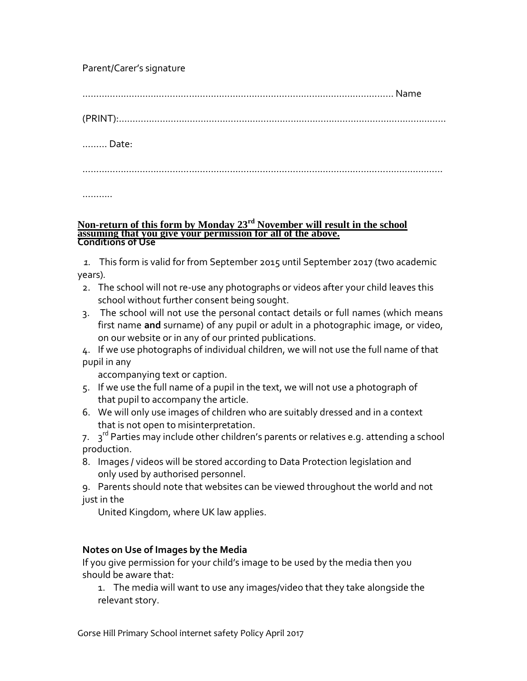### Parent/Carer's signature

…………………………………………………………………………………………………… Name

(PRINT):…………………………………………………………………………………………………………

……… Date:

……………………………………………………………………………………………………………………

…………

#### **Non-return of this form by Monday 23rd November will result in the school assuming that you give your permission for all of the above. Conditions of Use**

 *1.* This form is valid for from September 2015 until September 2017 (two academic years)*.*

- 2. The school will not re‐use any photographs or videos after your child leaves this school without further consent being sought.
- 3. The school will not use the personal contact details or full names (which means first name **and** surname) of any pupil or adult in a photographic image, or video, on our website or in any of our printed publications.

4. If we use photographs of individual children, we will not use the full name of that pupil in any

accompanying text or caption.

- 5. If we use the full name of a pupil in the text, we will not use a photograph of that pupil to accompany the article.
- 6. We will only use images of children who are suitably dressed and in a context that is not open to misinterpretation.

7. 3<sup>rd</sup> Parties may include other children's parents or relatives e.g. attending a school production.

8. Images / videos will be stored according to Data Protection legislation and only used by authorised personnel.

9. Parents should note that websites can be viewed throughout the world and not just in the

United Kingdom, where UK law applies.

### **Notes on Use of Images by the Media**

If you give permission for your child's image to be used by the media then you should be aware that:

1. The media will want to use any images/video that they take alongside the relevant story.